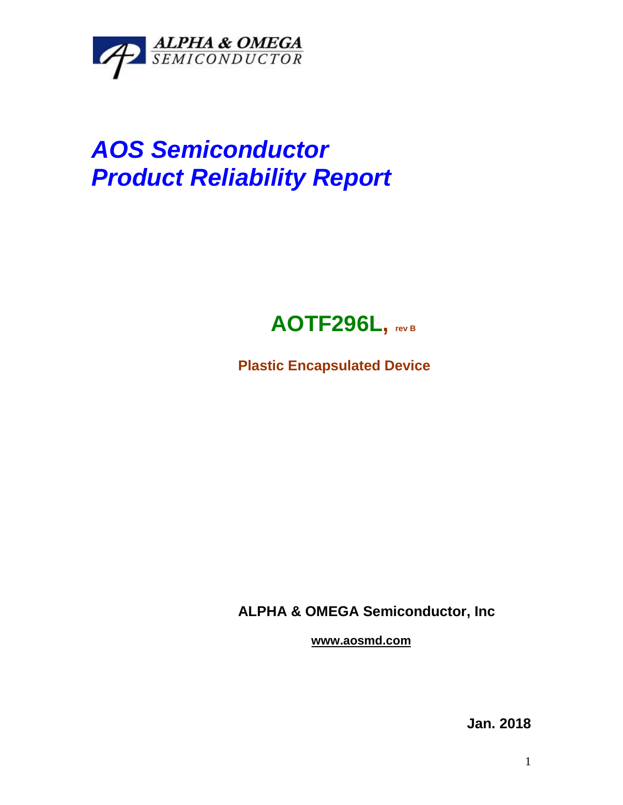

## *AOS Semiconductor Product Reliability Report*



**Plastic Encapsulated Device**

**ALPHA & OMEGA Semiconductor, Inc**

**www.aosmd.com**

**Jan. 2018**